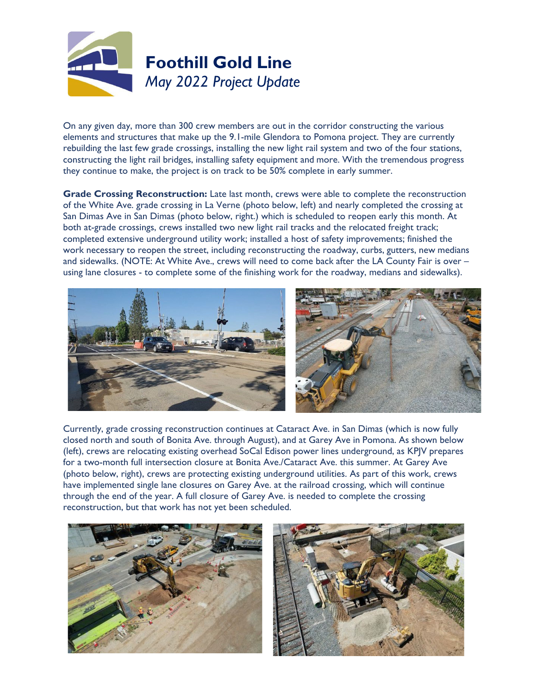

On any given day, more than 300 crew members are out in the corridor constructing the various elements and structures that make up the 9.1-mile Glendora to Pomona project. They are currently rebuilding the last few grade crossings, installing the new light rail system and two of the four stations, constructing the light rail bridges, installing safety equipment and more. With the tremendous progress they continue to make, the project is on track to be 50% complete in early summer.

**Grade Crossing Reconstruction:** Late last month, crews were able to complete the reconstruction of the White Ave. grade crossing in La Verne (photo below, left) and nearly completed the crossing at San Dimas Ave in San Dimas (photo below, right.) which is scheduled to reopen early this month. At both at-grade crossings, crews installed two new light rail tracks and the relocated freight track; completed extensive underground utility work; installed a host of safety improvements; finished the work necessary to reopen the street, including reconstructing the roadway, curbs, gutters, new medians and sidewalks. (NOTE: At White Ave., crews will need to come back after the LA County Fair is over – using lane closures - to complete some of the finishing work for the roadway, medians and sidewalks).



Currently, grade crossing reconstruction continues at Cataract Ave. in San Dimas (which is now fully closed north and south of Bonita Ave. through August), and at Garey Ave in Pomona. As shown below (left), crews are relocating existing overhead SoCal Edison power lines underground, as KPJV prepares for a two-month full intersection closure at Bonita Ave./Cataract Ave. this summer. At Garey Ave (photo below, right), crews are protecting existing underground utilities. As part of this work, crews have implemented single lane closures on Garey Ave. at the railroad crossing, which will continue through the end of the year. A full closure of Garey Ave. is needed to complete the crossing reconstruction, but that work has not yet been scheduled.



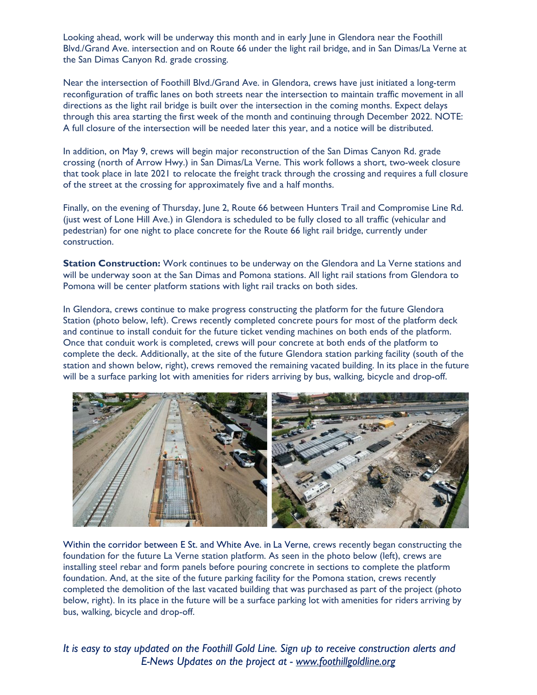Looking ahead, work will be underway this month and in early June in Glendora near the Foothill Blvd./Grand Ave. intersection and on Route 66 under the light rail bridge, and in San Dimas/La Verne at the San Dimas Canyon Rd. grade crossing.

Near the intersection of Foothill Blvd./Grand Ave. in Glendora, crews have just initiated a long-term reconfiguration of traffic lanes on both streets near the intersection to maintain traffic movement in all directions as the light rail bridge is built over the intersection in the coming months. Expect delays through this area starting the first week of the month and continuing through December 2022. NOTE: A full closure of the intersection will be needed later this year, and a notice will be distributed.

In addition, on May 9, crews will begin major reconstruction of the San Dimas Canyon Rd. grade crossing (north of Arrow Hwy.) in San Dimas/La Verne. This work follows a short, two-week closure that took place in late 2021 to relocate the freight track through the crossing and requires a full closure of the street at the crossing for approximately five and a half months.

Finally, on the evening of Thursday, June 2, Route 66 between Hunters Trail and Compromise Line Rd. (just west of Lone Hill Ave.) in Glendora is scheduled to be fully closed to all traffic (vehicular and pedestrian) for one night to place concrete for the Route 66 light rail bridge, currently under construction.

**Station Construction:** Work continues to be underway on the Glendora and La Verne stations and will be underway soon at the San Dimas and Pomona stations. All light rail stations from Glendora to Pomona will be center platform stations with light rail tracks on both sides.

In Glendora, crews continue to make progress constructing the platform for the future Glendora Station (photo below, left). Crews recently completed concrete pours for most of the platform deck and continue to install conduit for the future ticket vending machines on both ends of the platform. Once that conduit work is completed, crews will pour concrete at both ends of the platform to complete the deck. Additionally, at the site of the future Glendora station parking facility (south of the station and shown below, right), crews removed the remaining vacated building. In its place in the future will be a surface parking lot with amenities for riders arriving by bus, walking, bicycle and drop-off.



Within the corridor between E St. and White Ave. in La Verne, crews recently began constructing the foundation for the future La Verne station platform. As seen in the photo below (left), crews are installing steel rebar and form panels before pouring concrete in sections to complete the platform foundation. And, at the site of the future parking facility for the Pomona station, crews recently completed the demolition of the last vacated building that was purchased as part of the project (photo below, right). In its place in the future will be a surface parking lot with amenities for riders arriving by bus, walking, bicycle and drop-off.

*It is easy to* s*tay updated on the Foothill Gold Line. Sign up to receive construction alerts and E-News Updates on the project at - www.foothillgoldline.org*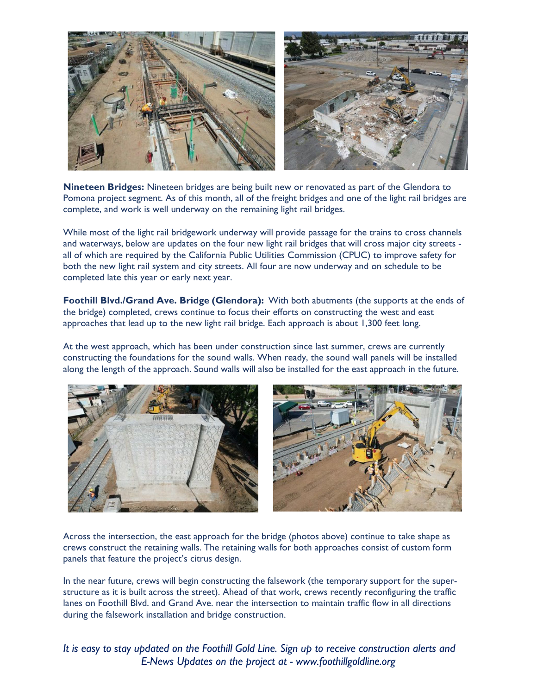

**Nineteen Bridges:** Nineteen bridges are being built new or renovated as part of the Glendora to Pomona project segment. As of this month, all of the freight bridges and one of the light rail bridges are complete, and work is well underway on the remaining light rail bridges.

While most of the light rail bridgework underway will provide passage for the trains to cross channels and waterways, below are updates on the four new light rail bridges that will cross major city streets all of which are required by the California Public Utilities Commission (CPUC) to improve safety for both the new light rail system and city streets. All four are now underway and on schedule to be completed late this year or early next year.

**Foothill Blvd./Grand Ave. Bridge (Glendora):** With both abutments (the supports at the ends of the bridge) completed, crews continue to focus their efforts on constructing the west and east approaches that lead up to the new light rail bridge. Each approach is about 1,300 feet long.

At the west approach, which has been under construction since last summer, crews are currently constructing the foundations for the sound walls. When ready, the sound wall panels will be installed along the length of the approach. Sound walls will also be installed for the east approach in the future.





Across the intersection, the east approach for the bridge (photos above) continue to take shape as crews construct the retaining walls. The retaining walls for both approaches consist of custom form panels that feature the project's citrus design.

In the near future, crews will begin constructing the falsework (the temporary support for the superstructure as it is built across the street). Ahead of that work, crews recently reconfiguring the traffic lanes on Foothill Blvd. and Grand Ave. near the intersection to maintain traffic flow in all directions during the falsework installation and bridge construction.

*It is easy to* s*tay updated on the Foothill Gold Line. Sign up to receive construction alerts and E-News Updates on the project at - www.foothillgoldline.org*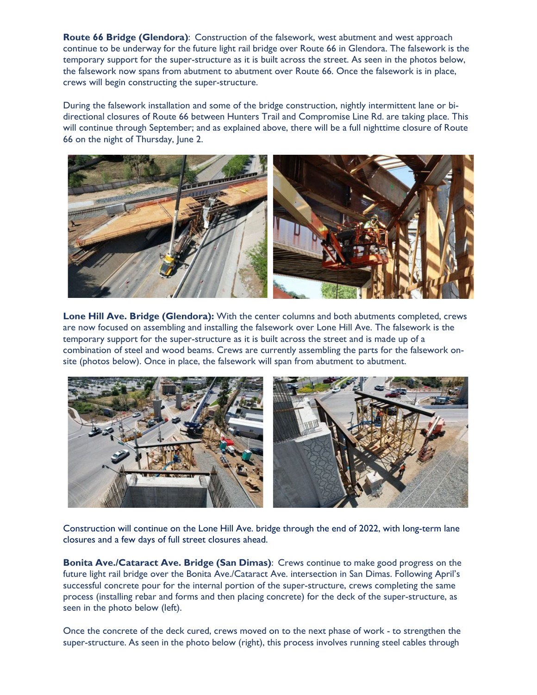**Route 66 Bridge (Glendora)**: Construction of the falsework, west abutment and west approach continue to be underway for the future light rail bridge over Route 66 in Glendora. The falsework is the temporary support for the super-structure as it is built across the street. As seen in the photos below, the falsework now spans from abutment to abutment over Route 66. Once the falsework is in place, crews will begin constructing the super-structure.

During the falsework installation and some of the bridge construction, nightly intermittent lane or bidirectional closures of Route 66 between Hunters Trail and Compromise Line Rd. are taking place. This will continue through September; and as explained above, there will be a full nighttime closure of Route 66 on the night of Thursday, June 2.



**Lone Hill Ave. Bridge (Glendora):** With the center columns and both abutments completed, crews are now focused on assembling and installing the falsework over Lone Hill Ave. The falsework is the temporary support for the super-structure as it is built across the street and is made up of a combination of steel and wood beams. Crews are currently assembling the parts for the falsework onsite (photos below). Once in place, the falsework will span from abutment to abutment.



Construction will continue on the Lone Hill Ave. bridge through the end of 2022, with long-term lane closures and a few days of full street closures ahead.

**Bonita Ave./Cataract Ave. Bridge (San Dimas)**: Crews continue to make good progress on the future light rail bridge over the Bonita Ave./Cataract Ave. intersection in San Dimas. Following April's successful concrete pour for the internal portion of the super-structure, crews completing the same process (installing rebar and forms and then placing concrete) for the deck of the super-structure, as seen in the photo below (left).

Once the concrete of the deck cured, crews moved on to the next phase of work - to strengthen the super-structure. As seen in the photo below (right), this process involves running steel cables through